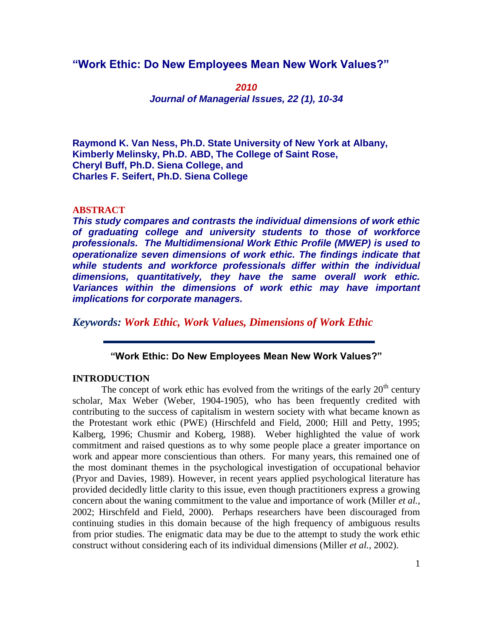# **"Work Ethic: Do New Employees Mean New Work Values?"**

*2010 Journal of Managerial Issues, 22 (1), 10-34*

**Raymond K. Van Ness, Ph.D. State University of New York at Albany, Kimberly Melinsky, Ph.D. ABD, The College of Saint Rose, Cheryl Buff, Ph.D. Siena College, and Charles F. Seifert, Ph.D. Siena College** 

## **ABSTRACT**

*This study compares and contrasts the individual dimensions of work ethic of graduating college and university students to those of workforce professionals. The Multidimensional Work Ethic Profile (MWEP) is used to operationalize seven dimensions of work ethic. The findings indicate that while students and workforce professionals differ within the individual dimensions, quantitatively, they have the same overall work ethic. Variances within the dimensions of work ethic may have important implications for corporate managers.*

*Keywords: Work Ethic, Work Values, Dimensions of Work Ethic*

# **"Work Ethic: Do New Employees Mean New Work Values?"**

# **INTRODUCTION**

The concept of work ethic has evolved from the writings of the early  $20<sup>th</sup>$  century scholar, Max Weber (Weber, 1904-1905), who has been frequently credited with contributing to the success of capitalism in western society with what became known as the Protestant work ethic (PWE) (Hirschfeld and Field, 2000; Hill and Petty, 1995; Kalberg, 1996; Chusmir and Koberg, 1988). Weber highlighted the value of work commitment and raised questions as to why some people place a greater importance on work and appear more conscientious than others. For many years, this remained one of the most dominant themes in the psychological investigation of occupational behavior (Pryor and Davies, 1989). However, in recent years applied psychological literature has provided decidedly little clarity to this issue, even though practitioners express a growing concern about the waning commitment to the value and importance of work (Miller *et al.,* 2002; Hirschfeld and Field, 2000). Perhaps researchers have been discouraged from continuing studies in this domain because of the high frequency of ambiguous results from prior studies. The enigmatic data may be due to the attempt to study the work ethic construct without considering each of its individual dimensions (Miller *et al.,* 2002).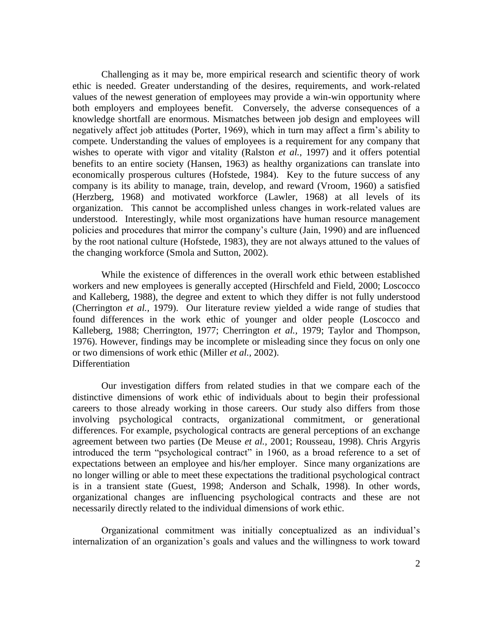Challenging as it may be, more empirical research and scientific theory of work ethic is needed. Greater understanding of the desires, requirements, and work-related values of the newest generation of employees may provide a win-win opportunity where both employers and employees benefit. Conversely, the adverse consequences of a knowledge shortfall are enormous. Mismatches between job design and employees will negatively affect job attitudes (Porter, 1969), which in turn may affect a firm"s ability to compete. Understanding the values of employees is a requirement for any company that wishes to operate with vigor and vitality (Ralston *et al.,* 1997) and it offers potential benefits to an entire society (Hansen, 1963) as healthy organizations can translate into economically prosperous cultures (Hofstede, 1984). Key to the future success of any company is its ability to manage, train, develop, and reward (Vroom, 1960) a satisfied (Herzberg, 1968) and motivated workforce (Lawler, 1968) at all levels of its organization. This cannot be accomplished unless changes in work-related values are understood. Interestingly, while most organizations have human resource management policies and procedures that mirror the company"s culture (Jain, 1990) and are influenced by the root national culture (Hofstede, 1983), they are not always attuned to the values of the changing workforce (Smola and Sutton, 2002).

While the existence of differences in the overall work ethic between established workers and new employees is generally accepted (Hirschfeld and Field, 2000; Loscocco and Kalleberg, 1988), the degree and extent to which they differ is not fully understood (Cherrington *et al.,* 1979). Our literature review yielded a wide range of studies that found differences in the work ethic of younger and older people (Loscocco and Kalleberg, 1988; Cherrington, 1977; Cherrington *et al.,* 1979; Taylor and Thompson, 1976). However, findings may be incomplete or misleading since they focus on only one or two dimensions of work ethic (Miller *et al.,* 2002). **Differentiation** 

Our investigation differs from related studies in that we compare each of the distinctive dimensions of work ethic of individuals about to begin their professional careers to those already working in those careers. Our study also differs from those involving psychological contracts, organizational commitment, or generational differences. For example, psychological contracts are general perceptions of an exchange agreement between two parties (De Meuse *et al.,* 2001; Rousseau, 1998). Chris Argyris introduced the term "psychological contract" in 1960, as a broad reference to a set of expectations between an employee and his/her employer. Since many organizations are no longer willing or able to meet these expectations the traditional psychological contract is in a transient state (Guest, 1998; Anderson and Schalk, 1998). In other words, organizational changes are influencing psychological contracts and these are not necessarily directly related to the individual dimensions of work ethic.

Organizational commitment was initially conceptualized as an individual"s internalization of an organization"s goals and values and the willingness to work toward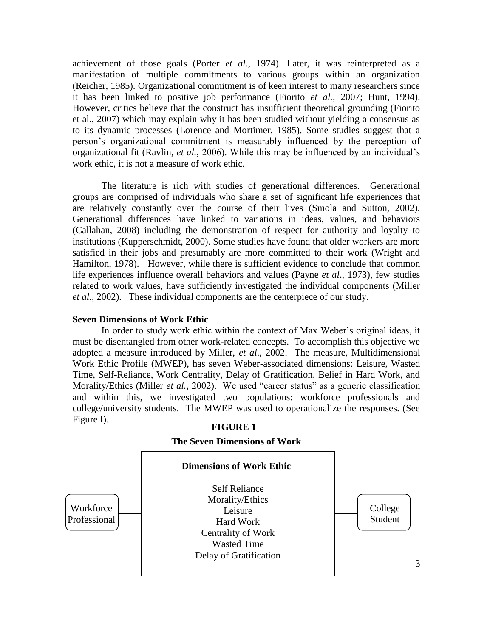achievement of those goals (Porter *et al.*, 1974). Later, it was reinterpreted as a manifestation of multiple commitments to various groups within an organization (Reicher, 1985). Organizational commitment is of keen interest to many researchers since it has been linked to positive job performance (Fiorito *et al.,* 2007; Hunt, 1994). However, critics believe that the construct has insufficient theoretical grounding (Fiorito et al., 2007) which may explain why it has been studied without yielding a consensus as to its dynamic processes (Lorence and Mortimer, 1985). Some studies suggest that a person"s organizational commitment is measurably influenced by the perception of organizational fit (Ravlin, *et al.,* 2006). While this may be influenced by an individual"s work ethic, it is not a measure of work ethic.

The literature is rich with studies of generational differences. Generational groups are comprised of individuals who share a set of significant life experiences that are relatively constantly over the course of their lives (Smola and Sutton, 2002). Generational differences have linked to variations in ideas, values, and behaviors (Callahan, 2008) including the demonstration of respect for authority and loyalty to institutions (Kupperschmidt, 2000). Some studies have found that older workers are more satisfied in their jobs and presumably are more committed to their work (Wright and Hamilton, 1978). However, while there is sufficient evidence to conclude that common life experiences influence overall behaviors and values (Payne *et al*., 1973), few studies related to work values, have sufficiently investigated the individual components (Miller *et al.,* 2002). These individual components are the centerpiece of our study.

## **Seven Dimensions of Work Ethic**

In order to study work ethic within the context of Max Weber"s original ideas, it must be disentangled from other work-related concepts. To accomplish this objective we adopted a measure introduced by Miller, *et al*., 2002. The measure, Multidimensional Work Ethic Profile (MWEP), has seven Weber-associated dimensions: Leisure, Wasted Time, Self-Reliance, Work Centrality, Delay of Gratification, Belief in Hard Work, and Morality/Ethics (Miller *et al.*, 2002). We used "career status" as a generic classification and within this, we investigated two populations: workforce professionals and college/university students. The MWEP was used to operationalize the responses. (See Figure I).



# **FIGURE 1**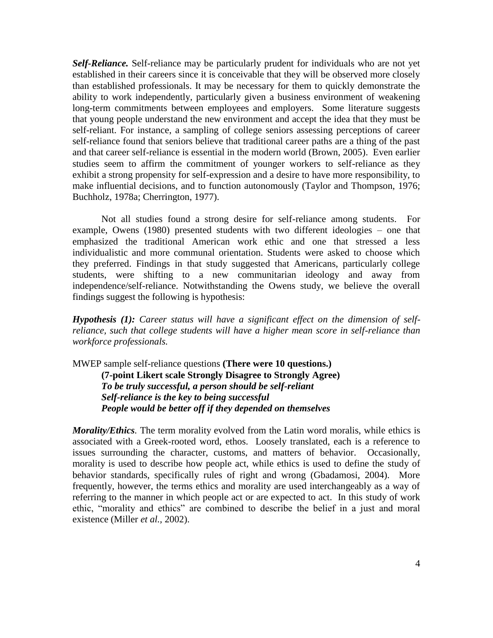*Self-Reliance.* Self-reliance may be particularly prudent for individuals who are not yet established in their careers since it is conceivable that they will be observed more closely than established professionals. It may be necessary for them to quickly demonstrate the ability to work independently, particularly given a business environment of weakening long-term commitments between employees and employers. Some literature suggests that young people understand the new environment and accept the idea that they must be self-reliant. For instance, a sampling of college seniors assessing perceptions of career self-reliance found that seniors believe that traditional career paths are a thing of the past and that career self-reliance is essential in the modern world (Brown, 2005). Even earlier studies seem to affirm the commitment of younger workers to self-reliance as they exhibit a strong propensity for self-expression and a desire to have more responsibility, to make influential decisions, and to function autonomously (Taylor and Thompson, 1976; Buchholz, 1978a; Cherrington, 1977).

Not all studies found a strong desire for self-reliance among students. For example, Owens (1980) presented students with two different ideologies – one that emphasized the traditional American work ethic and one that stressed a less individualistic and more communal orientation. Students were asked to choose which they preferred. Findings in that study suggested that Americans, particularly college students, were shifting to a new communitarian ideology and away from independence/self-reliance. Notwithstanding the Owens study, we believe the overall findings suggest the following is hypothesis:

*Hypothesis (1): Career status will have a significant effect on the dimension of selfreliance, such that college students will have a higher mean score in self-reliance than workforce professionals.*

MWEP sample self-reliance questions **(There were 10 questions.) (7-point Likert scale Strongly Disagree to Strongly Agree)**  *To be truly successful, a person should be self-reliant Self-reliance is the key to being successful People would be better off if they depended on themselves* 

*Morality/Ethics.* The term morality evolved from the Latin word moralis, while ethics is associated with a Greek-rooted word, ethos. Loosely translated, each is a reference to issues surrounding the character, customs, and matters of behavior. Occasionally, morality is used to describe how people act, while ethics is used to define the study of behavior standards, specifically rules of right and wrong (Gbadamosi, 2004). More frequently, however, the terms ethics and morality are used interchangeably as a way of referring to the manner in which people act or are expected to act. In this study of work ethic, "morality and ethics" are combined to describe the belief in a just and moral existence (Miller *et al.,* 2002).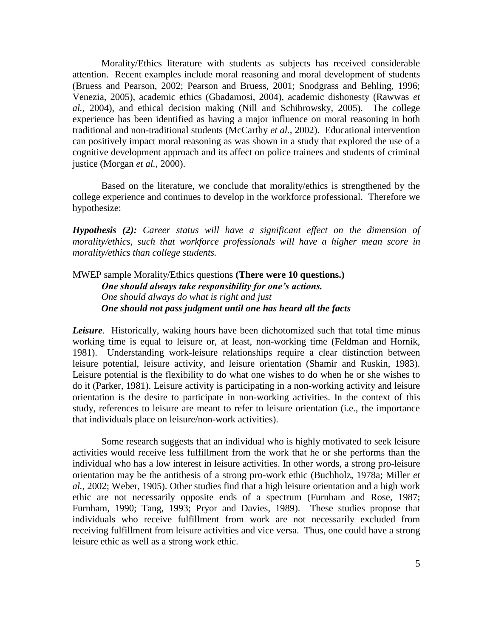Morality/Ethics literature with students as subjects has received considerable attention. Recent examples include moral reasoning and moral development of students (Bruess and Pearson, 2002; Pearson and Bruess, 2001; Snodgrass and Behling, 1996; Venezia, 2005), academic ethics (Gbadamosi, 2004), academic dishonesty (Rawwas *et al.,* 2004), and ethical decision making (Nill and Schibrowsky, 2005). The college experience has been identified as having a major influence on moral reasoning in both traditional and non-traditional students (McCarthy *et al.,* 2002). Educational intervention can positively impact moral reasoning as was shown in a study that explored the use of a cognitive development approach and its affect on police trainees and students of criminal justice (Morgan *et al.,* 2000).

Based on the literature, we conclude that morality/ethics is strengthened by the college experience and continues to develop in the workforce professional. Therefore we hypothesize:

*Hypothesis (2): Career status will have a significant effect on the dimension of morality/ethics, such that workforce professionals will have a higher mean score in morality/ethics than college students.*

# MWEP sample Morality/Ethics questions **(There were 10 questions.)** *One should always take responsibility for one's actions. One should always do what is right and just One should not pass judgment until one has heard all the facts*

*Leisure.* Historically, waking hours have been dichotomized such that total time minus working time is equal to leisure or, at least, non-working time (Feldman and Hornik, 1981). Understanding work-leisure relationships require a clear distinction between leisure potential, leisure activity, and leisure orientation (Shamir and Ruskin, 1983). Leisure potential is the flexibility to do what one wishes to do when he or she wishes to do it (Parker, 1981). Leisure activity is participating in a non-working activity and leisure orientation is the desire to participate in non-working activities. In the context of this study, references to leisure are meant to refer to leisure orientation (i.e., the importance that individuals place on leisure/non-work activities).

Some research suggests that an individual who is highly motivated to seek leisure activities would receive less fulfillment from the work that he or she performs than the individual who has a low interest in leisure activities. In other words, a strong pro-leisure orientation may be the antithesis of a strong pro-work ethic (Buchholz, 1978a; Miller *et al.,* 2002; Weber, 1905). Other studies find that a high leisure orientation and a high work ethic are not necessarily opposite ends of a spectrum (Furnham and Rose, 1987; Furnham, 1990; Tang, 1993; Pryor and Davies, 1989). These studies propose that individuals who receive fulfillment from work are not necessarily excluded from receiving fulfillment from leisure activities and vice versa. Thus, one could have a strong leisure ethic as well as a strong work ethic.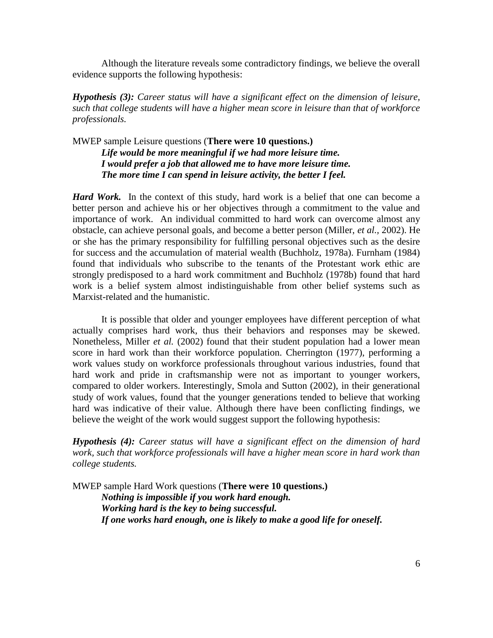Although the literature reveals some contradictory findings, we believe the overall evidence supports the following hypothesis:

*Hypothesis (3): Career status will have a significant effect on the dimension of leisure, such that college students will have a higher mean score in leisure than that of workforce professionals.*

MWEP sample Leisure questions (**There were 10 questions.)** *Life would be more meaningful if we had more leisure time. I would prefer a job that allowed me to have more leisure time. The more time I can spend in leisure activity, the better I feel.* 

*Hard Work.* In the context of this study, hard work is a belief that one can become a better person and achieve his or her objectives through a commitment to the value and importance of work. An individual committed to hard work can overcome almost any obstacle, can achieve personal goals, and become a better person (Miller, *et al.,* 2002). He or she has the primary responsibility for fulfilling personal objectives such as the desire for success and the accumulation of material wealth (Buchholz, 1978a). Furnham (1984) found that individuals who subscribe to the tenants of the Protestant work ethic are strongly predisposed to a hard work commitment and Buchholz (1978b) found that hard work is a belief system almost indistinguishable from other belief systems such as Marxist-related and the humanistic.

It is possible that older and younger employees have different perception of what actually comprises hard work, thus their behaviors and responses may be skewed. Nonetheless, Miller *et al.* (2002) found that their student population had a lower mean score in hard work than their workforce population. Cherrington (1977), performing a work values study on workforce professionals throughout various industries, found that hard work and pride in craftsmanship were not as important to younger workers, compared to older workers. Interestingly, Smola and Sutton (2002), in their generational study of work values, found that the younger generations tended to believe that working hard was indicative of their value. Although there have been conflicting findings, we believe the weight of the work would suggest support the following hypothesis:

*Hypothesis (4): Career status will have a significant effect on the dimension of hard work, such that workforce professionals will have a higher mean score in hard work than college students.*

MWEP sample Hard Work questions (**There were 10 questions.)** *Nothing is impossible if you work hard enough. Working hard is the key to being successful. If one works hard enough, one is likely to make a good life for oneself.*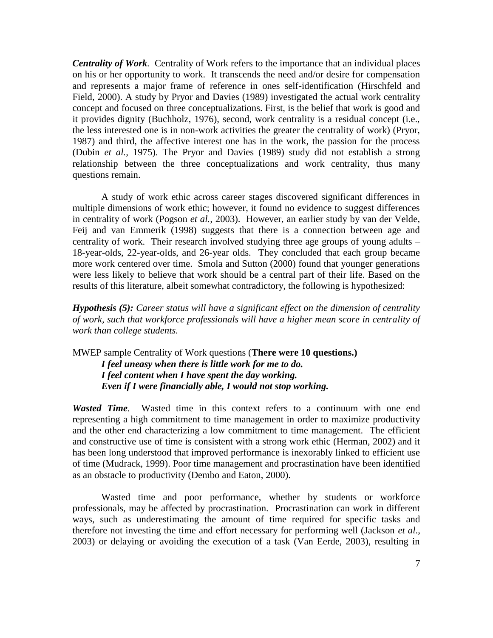*Centrality of Work.* Centrality of Work refers to the importance that an individual places on his or her opportunity to work. It transcends the need and/or desire for compensation and represents a major frame of reference in ones self-identification (Hirschfeld and Field, 2000). A study by Pryor and Davies (1989) investigated the actual work centrality concept and focused on three conceptualizations. First, is the belief that work is good and it provides dignity (Buchholz, 1976), second, work centrality is a residual concept (i.e., the less interested one is in non-work activities the greater the centrality of work) (Pryor, 1987) and third, the affective interest one has in the work, the passion for the process (Dubin *et al.,* 1975). The Pryor and Davies (1989) study did not establish a strong relationship between the three conceptualizations and work centrality, thus many questions remain.

A study of work ethic across career stages discovered significant differences in multiple dimensions of work ethic; however, it found no evidence to suggest differences in centrality of work (Pogson *et al.,* 2003). However, an earlier study by van der Velde, Feij and van Emmerik (1998) suggests that there is a connection between age and centrality of work. Their research involved studying three age groups of young adults – 18-year-olds, 22-year-olds, and 26-year olds. They concluded that each group became more work centered over time. Smola and Sutton (2000) found that younger generations were less likely to believe that work should be a central part of their life. Based on the results of this literature, albeit somewhat contradictory, the following is hypothesized:

*Hypothesis (5): Career status will have a significant effect on the dimension of centrality of work, such that workforce professionals will have a higher mean score in centrality of work than college students.*

MWEP sample Centrality of Work questions (**There were 10 questions.)** *I feel uneasy when there is little work for me to do. I feel content when I have spent the day working. Even if I were financially able, I would not stop working.* 

*Wasted Time.* Wasted time in this context refers to a continuum with one end representing a high commitment to time management in order to maximize productivity and the other end characterizing a low commitment to time management. The efficient and constructive use of time is consistent with a strong work ethic (Herman, 2002) and it has been long understood that improved performance is inexorably linked to efficient use of time (Mudrack, 1999). Poor time management and procrastination have been identified as an obstacle to productivity (Dembo and Eaton, 2000).

Wasted time and poor performance, whether by students or workforce professionals, may be affected by procrastination. Procrastination can work in different ways, such as underestimating the amount of time required for specific tasks and therefore not investing the time and effort necessary for performing well (Jackson *et al*., 2003) or delaying or avoiding the execution of a task (Van Eerde, 2003), resulting in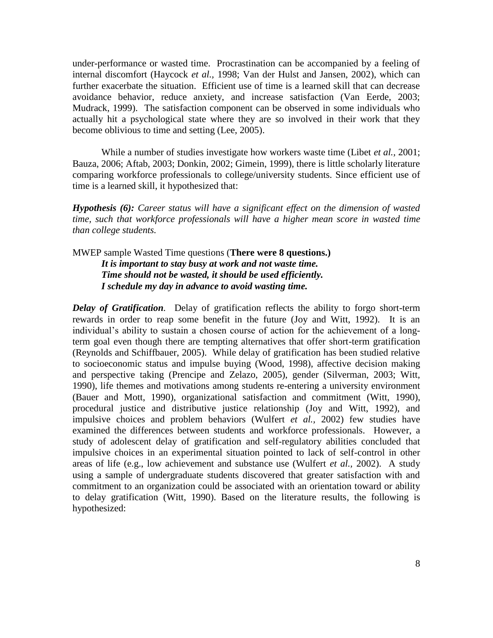under-performance or wasted time. Procrastination can be accompanied by a feeling of internal discomfort (Haycock *et al.,* 1998; Van der Hulst and Jansen, 2002), which can further exacerbate the situation. Efficient use of time is a learned skill that can decrease avoidance behavior, reduce anxiety, and increase satisfaction (Van Eerde, 2003; Mudrack, 1999). The satisfaction component can be observed in some individuals who actually hit a psychological state where they are so involved in their work that they become oblivious to time and setting (Lee, 2005).

While a number of studies investigate how workers waste time (Libet *et al.,* 2001; Bauza, 2006; Aftab, 2003; Donkin, 2002; Gimein, 1999), there is little scholarly literature comparing workforce professionals to college/university students. Since efficient use of time is a learned skill, it hypothesized that:

*Hypothesis (6): Career status will have a significant effect on the dimension of wasted time, such that workforce professionals will have a higher mean score in wasted time than college students.*

MWEP sample Wasted Time questions (**There were 8 questions.)** *It is important to stay busy at work and not waste time. Time should not be wasted, it should be used efficiently. I schedule my day in advance to avoid wasting time.* 

*Delay of Gratification.* Delay of gratification reflects the ability to forgo short-term rewards in order to reap some benefit in the future (Joy and Witt, 1992). It is an individual"s ability to sustain a chosen course of action for the achievement of a longterm goal even though there are tempting alternatives that offer short-term gratification (Reynolds and Schiffbauer, 2005). While delay of gratification has been studied relative to socioeconomic status and impulse buying (Wood, 1998), affective decision making and perspective taking (Prencipe and Zelazo, 2005), gender (Silverman, 2003; Witt, 1990), life themes and motivations among students re-entering a university environment (Bauer and Mott, 1990), organizational satisfaction and commitment (Witt, 1990), procedural justice and distributive justice relationship (Joy and Witt, 1992), and impulsive choices and problem behaviors (Wulfert *et al.,* 2002) few studies have examined the differences between students and workforce professionals. However, a study of adolescent delay of gratification and self-regulatory abilities concluded that impulsive choices in an experimental situation pointed to lack of self-control in other areas of life (e.g., low achievement and substance use (Wulfert *et al.,* 2002). A study using a sample of undergraduate students discovered that greater satisfaction with and commitment to an organization could be associated with an orientation toward or ability to delay gratification (Witt, 1990). Based on the literature results, the following is hypothesized: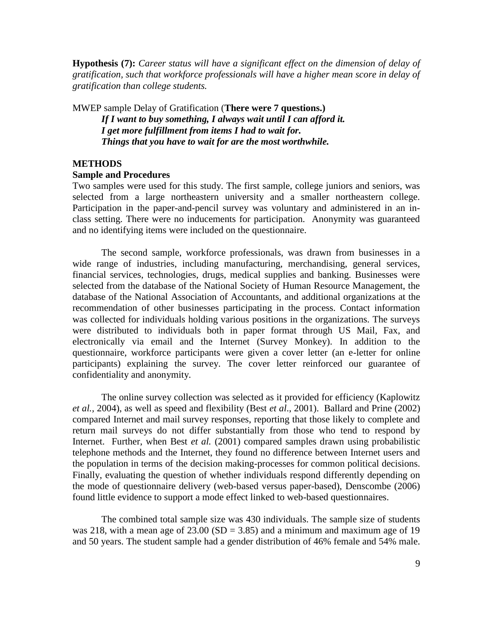**Hypothesis (7):** *Career status will have a significant effect on the dimension of delay of gratification, such that workforce professionals will have a higher mean score in delay of gratification than college students.*

MWEP sample Delay of Gratification (**There were 7 questions.)** *If I want to buy something, I always wait until I can afford it. I get more fulfillment from items I had to wait for. Things that you have to wait for are the most worthwhile.* 

# **METHODS**

### **Sample and Procedures**

Two samples were used for this study. The first sample, college juniors and seniors, was selected from a large northeastern university and a smaller northeastern college. Participation in the paper-and-pencil survey was voluntary and administered in an inclass setting. There were no inducements for participation. Anonymity was guaranteed and no identifying items were included on the questionnaire.

The second sample, workforce professionals, was drawn from businesses in a wide range of industries, including manufacturing, merchandising, general services, financial services, technologies, drugs, medical supplies and banking. Businesses were selected from the database of the National Society of Human Resource Management, the database of the National Association of Accountants, and additional organizations at the recommendation of other businesses participating in the process. Contact information was collected for individuals holding various positions in the organizations. The surveys were distributed to individuals both in paper format through US Mail, Fax, and electronically via email and the Internet (Survey Monkey). In addition to the questionnaire, workforce participants were given a cover letter (an e-letter for online participants) explaining the survey. The cover letter reinforced our guarantee of confidentiality and anonymity.

The online survey collection was selected as it provided for efficiency (Kaplowitz *et al.,* 2004), as well as speed and flexibility (Best *et al*., 2001). Ballard and Prine (2002) compared Internet and mail survey responses, reporting that those likely to complete and return mail surveys do not differ substantially from those who tend to respond by Internet. Further, when Best *et al.* (2001) compared samples drawn using probabilistic telephone methods and the Internet, they found no difference between Internet users and the population in terms of the decision making-processes for common political decisions. Finally, evaluating the question of whether individuals respond differently depending on the mode of questionnaire delivery (web-based versus paper-based), Denscombe (2006) found little evidence to support a mode effect linked to web-based questionnaires.

The combined total sample size was 430 individuals. The sample size of students was 218, with a mean age of  $23.00$  (SD = 3.85) and a minimum and maximum age of 19 and 50 years. The student sample had a gender distribution of 46% female and 54% male.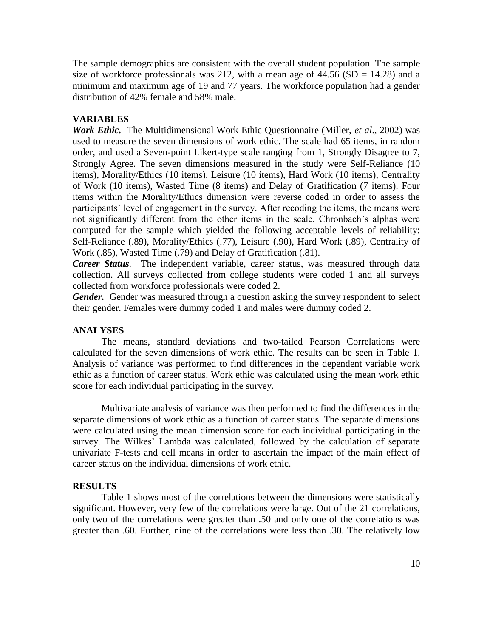The sample demographics are consistent with the overall student population. The sample size of workforce professionals was 212, with a mean age of  $44.56$  (SD = 14.28) and a minimum and maximum age of 19 and 77 years. The workforce population had a gender distribution of 42% female and 58% male.

# **VARIABLES**

*Work Ethic.* The Multidimensional Work Ethic Questionnaire (Miller, *et al*., 2002) was used to measure the seven dimensions of work ethic. The scale had 65 items, in random order, and used a Seven-point Likert-type scale ranging from 1, Strongly Disagree to 7, Strongly Agree. The seven dimensions measured in the study were Self-Reliance (10 items), Morality/Ethics (10 items), Leisure (10 items), Hard Work (10 items), Centrality of Work (10 items), Wasted Time (8 items) and Delay of Gratification (7 items). Four items within the Morality/Ethics dimension were reverse coded in order to assess the participants' level of engagement in the survey. After recoding the items, the means were not significantly different from the other items in the scale. Chronbach"s alphas were computed for the sample which yielded the following acceptable levels of reliability: Self-Reliance (.89), Morality/Ethics (.77), Leisure (.90), Hard Work (.89), Centrality of Work (.85), Wasted Time (.79) and Delay of Gratification (.81).

*Career Status.* The independent variable, career status, was measured through data collection. All surveys collected from college students were coded 1 and all surveys collected from workforce professionals were coded 2.

*Gender.* Gender was measured through a question asking the survey respondent to select their gender. Females were dummy coded 1 and males were dummy coded 2.

### **ANALYSES**

The means, standard deviations and two-tailed Pearson Correlations were calculated for the seven dimensions of work ethic. The results can be seen in Table 1. Analysis of variance was performed to find differences in the dependent variable work ethic as a function of career status. Work ethic was calculated using the mean work ethic score for each individual participating in the survey.

Multivariate analysis of variance was then performed to find the differences in the separate dimensions of work ethic as a function of career status. The separate dimensions were calculated using the mean dimension score for each individual participating in the survey. The Wilkes' Lambda was calculated, followed by the calculation of separate univariate F-tests and cell means in order to ascertain the impact of the main effect of career status on the individual dimensions of work ethic.

### **RESULTS**

Table 1 shows most of the correlations between the dimensions were statistically significant. However, very few of the correlations were large. Out of the 21 correlations, only two of the correlations were greater than .50 and only one of the correlations was greater than .60. Further, nine of the correlations were less than .30. The relatively low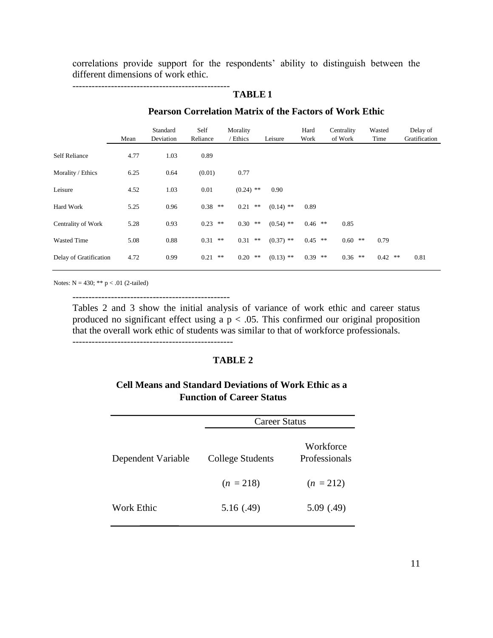correlations provide support for the respondents' ability to distinguish between the different dimensions of work ethic.

------------------------------------------------- **TABLE 1**

# **Pearson Correlation Matrix of the Factors of Work Ethic**

|                        | Mean | Standard<br>Deviation | Self<br>Reliance | Morality<br>' Ethics | Leisure     | Hard<br>Work | Centrality<br>of Work | Wasted<br>Time | Delay of<br>Gratification |
|------------------------|------|-----------------------|------------------|----------------------|-------------|--------------|-----------------------|----------------|---------------------------|
| <b>Self Reliance</b>   | 4.77 | 1.03                  | 0.89             |                      |             |              |                       |                |                           |
| Morality / Ethics      | 6.25 | 0.64                  | (0.01)           | 0.77                 |             |              |                       |                |                           |
| Leisure                | 4.52 | 1.03                  | 0.01             | $(0.24)$ **          | 0.90        |              |                       |                |                           |
| Hard Work              | 5.25 | 0.96                  | $0.38$ **        | 0.21<br>$**$         | $(0.14)$ ** | 0.89         |                       |                |                           |
| Centrality of Work     | 5.28 | 0.93                  | $0.23$ **        | $0.30$ **            | $(0.54)$ ** | $0.46$ **    | 0.85                  |                |                           |
| <b>Wasted Time</b>     | 5.08 | 0.88                  | $0.31$ **        | 0.31<br>$\ast\ast$   | $(0.37)$ ** | $0.45$ **    | $0.60$ **             | 0.79           |                           |
| Delay of Gratification | 4.72 | 0.99                  | 0.21<br>**       | $0.20$ **            | $(0.13)$ ** | $0.39$ **    | $0.36$ **             | $0.42$ **      | 0.81                      |

Notes:  $N = 430$ ; \*\*  $p < .01$  (2-tailed)

-------------------------------------------------

Tables 2 and 3 show the initial analysis of variance of work ethic and career status produced no significant effect using a  $p < .05$ . This confirmed our original proposition that the overall work ethic of students was similar to that of workforce professionals.

# **TABLE 2**

# **Cell Means and Standard Deviations of Work Ethic as a Function of Career Status**

|                    | <b>Career Status</b> |                            |  |  |
|--------------------|----------------------|----------------------------|--|--|
| Dependent Variable | College Students     | Workforce<br>Professionals |  |  |
|                    | $(n = 218)$          | $(n = 212)$                |  |  |
| Work Ethic         | 5.16(.49)            | 5.09(0.49)                 |  |  |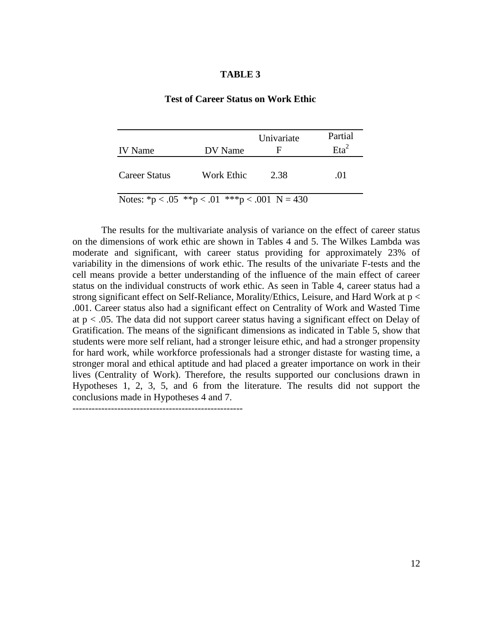# **Test of Career Status on Work Ethic**

|                                               |            | Univariate | Partial    |
|-----------------------------------------------|------------|------------|------------|
| <b>IV</b> Name                                | DV Name    | Е          | $E_{12}^2$ |
| Career Status                                 | Work Ethic | 2.38       | .01        |
| Notes: *p < .05 **p < .01 ***p < .001 N = 430 |            |            |            |

The results for the multivariate analysis of variance on the effect of career status on the dimensions of work ethic are shown in Tables 4 and 5. The Wilkes Lambda was moderate and significant, with career status providing for approximately 23% of variability in the dimensions of work ethic. The results of the univariate F-tests and the cell means provide a better understanding of the influence of the main effect of career status on the individual constructs of work ethic. As seen in Table 4, career status had a strong significant effect on Self-Reliance, Morality/Ethics, Leisure, and Hard Work at p < .001. Career status also had a significant effect on Centrality of Work and Wasted Time at  $p < .05$ . The data did not support career status having a significant effect on Delay of Gratification. The means of the significant dimensions as indicated in Table 5, show that students were more self reliant, had a stronger leisure ethic, and had a stronger propensity for hard work, while workforce professionals had a stronger distaste for wasting time, a stronger moral and ethical aptitude and had placed a greater importance on work in their lives (Centrality of Work). Therefore, the results supported our conclusions drawn in Hypotheses 1, 2, 3, 5, and 6 from the literature. The results did not support the conclusions made in Hypotheses 4 and 7.

-----------------------------------------------------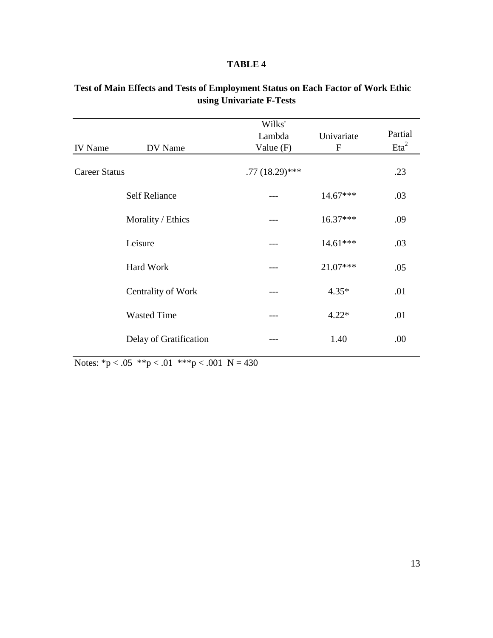| <b>IV</b> Name       | DV Name                | Wilks'<br>Lambda<br>Value $(F)$ | Univariate<br>$\mathbf F$ | Partial<br>$E^a$ |
|----------------------|------------------------|---------------------------------|---------------------------|------------------|
| <b>Career Status</b> |                        | $.77(18.29)$ ***                |                           | .23              |
|                      | <b>Self Reliance</b>   |                                 | 14.67***                  | .03              |
|                      | Morality / Ethics      |                                 | $16.37***$                | .09              |
|                      | Leisure                |                                 | 14.61***                  | .03              |
|                      | Hard Work              |                                 | 21.07***                  | .05              |
|                      | Centrality of Work     |                                 | $4.35*$                   | .01              |
|                      | <b>Wasted Time</b>     | ---                             | $4.22*$                   | .01              |
|                      | Delay of Gratification |                                 | 1.40                      | .00              |

# **Test of Main Effects and Tests of Employment Status on Each Factor of Work Ethic using Univariate F-Tests**

Notes:  ${}^*p < .05$   ${}^*p < .01$   ${}^*{}^*p < .001$  N = 430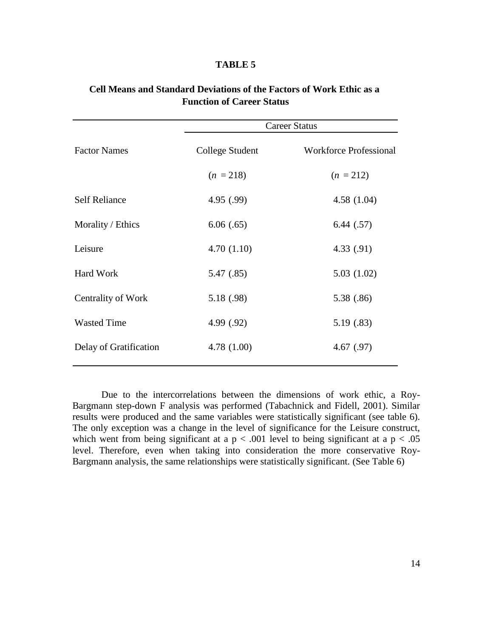|                        |                 | <b>Career Status</b>          |
|------------------------|-----------------|-------------------------------|
| <b>Factor Names</b>    | College Student | <b>Workforce Professional</b> |
|                        | $(n = 218)$     | $(n = 212)$                   |
| <b>Self Reliance</b>   | 4.95(.99)       | 4.58(1.04)                    |
| Morality / Ethics      | 6.06(.65)       | 6.44(.57)                     |
| Leisure                | 4.70(1.10)      | 4.33(.91)                     |
| Hard Work              | 5.47 (.85)      | 5.03(1.02)                    |
| Centrality of Work     | 5.18 (.98)      | 5.38 (.86)                    |
| <b>Wasted Time</b>     | 4.99 (.92)      | 5.19(.83)                     |
| Delay of Gratification | 4.78(1.00)      | 4.67(.97)                     |

# **Cell Means and Standard Deviations of the Factors of Work Ethic as a Function of Career Status**

Due to the intercorrelations between the dimensions of work ethic, a Roy-Bargmann step-down F analysis was performed (Tabachnick and Fidell, 2001). Similar results were produced and the same variables were statistically significant (see table 6). The only exception was a change in the level of significance for the Leisure construct, which went from being significant at a  $p < .001$  level to being significant at a  $p < .05$ level. Therefore, even when taking into consideration the more conservative Roy-Bargmann analysis, the same relationships were statistically significant. (See Table 6)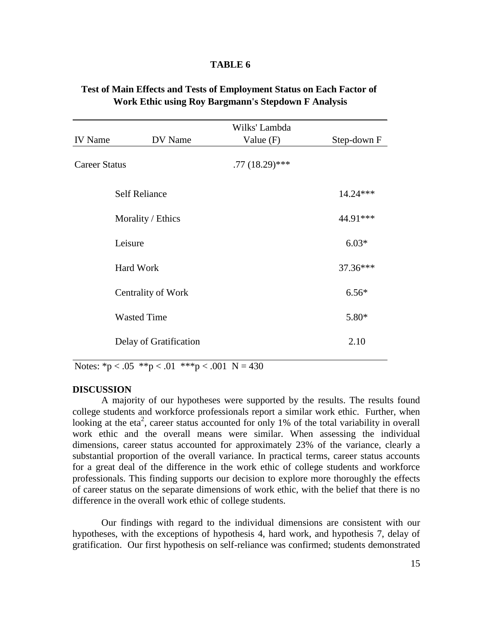| Test of Main Effects and Tests of Employment Status on Each Factor of |                                                            |  |  |
|-----------------------------------------------------------------------|------------------------------------------------------------|--|--|
|                                                                       | <b>Work Ethic using Roy Bargmann's Stepdown F Analysis</b> |  |  |

|                      |                        | Wilks' Lambda    |             |
|----------------------|------------------------|------------------|-------------|
| <b>IV</b> Name       | DV Name                | Value $(F)$      | Step-down F |
| <b>Career Status</b> |                        | $.77(18.29)$ *** |             |
|                      | <b>Self Reliance</b>   |                  | $14.24***$  |
|                      | Morality / Ethics      |                  | 44.91***    |
|                      | Leisure                |                  | $6.03*$     |
|                      | Hard Work              |                  | 37.36***    |
|                      | Centrality of Work     |                  | $6.56*$     |
|                      | <b>Wasted Time</b>     |                  | $5.80*$     |
|                      | Delay of Gratification |                  | 2.10        |

Notes:  ${}^*p < .05$   ${}^{**}p < .01$   ${}^{***}p < .001$  N = 430

### **DISCUSSION**

A majority of our hypotheses were supported by the results. The results found college students and workforce professionals report a similar work ethic. Further, when looking at the eta<sup>2</sup>, career status accounted for only 1% of the total variability in overall work ethic and the overall means were similar. When assessing the individual dimensions, career status accounted for approximately 23% of the variance, clearly a substantial proportion of the overall variance. In practical terms, career status accounts for a great deal of the difference in the work ethic of college students and workforce professionals. This finding supports our decision to explore more thoroughly the effects of career status on the separate dimensions of work ethic, with the belief that there is no difference in the overall work ethic of college students.

Our findings with regard to the individual dimensions are consistent with our hypotheses, with the exceptions of hypothesis 4, hard work, and hypothesis 7, delay of gratification. Our first hypothesis on self-reliance was confirmed; students demonstrated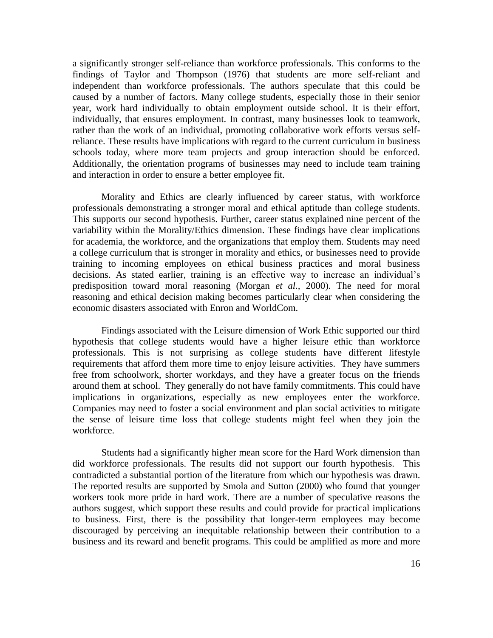a significantly stronger self-reliance than workforce professionals. This conforms to the findings of Taylor and Thompson (1976) that students are more self-reliant and independent than workforce professionals. The authors speculate that this could be caused by a number of factors. Many college students, especially those in their senior year, work hard individually to obtain employment outside school. It is their effort, individually, that ensures employment. In contrast, many businesses look to teamwork, rather than the work of an individual, promoting collaborative work efforts versus selfreliance. These results have implications with regard to the current curriculum in business schools today, where more team projects and group interaction should be enforced. Additionally, the orientation programs of businesses may need to include team training and interaction in order to ensure a better employee fit.

Morality and Ethics are clearly influenced by career status, with workforce professionals demonstrating a stronger moral and ethical aptitude than college students. This supports our second hypothesis. Further, career status explained nine percent of the variability within the Morality/Ethics dimension. These findings have clear implications for academia, the workforce, and the organizations that employ them. Students may need a college curriculum that is stronger in morality and ethics, or businesses need to provide training to incoming employees on ethical business practices and moral business decisions. As stated earlier, training is an effective way to increase an individual"s predisposition toward moral reasoning (Morgan *et al.,* 2000). The need for moral reasoning and ethical decision making becomes particularly clear when considering the economic disasters associated with Enron and WorldCom.

Findings associated with the Leisure dimension of Work Ethic supported our third hypothesis that college students would have a higher leisure ethic than workforce professionals. This is not surprising as college students have different lifestyle requirements that afford them more time to enjoy leisure activities. They have summers free from schoolwork, shorter workdays, and they have a greater focus on the friends around them at school. They generally do not have family commitments. This could have implications in organizations, especially as new employees enter the workforce. Companies may need to foster a social environment and plan social activities to mitigate the sense of leisure time loss that college students might feel when they join the workforce.

Students had a significantly higher mean score for the Hard Work dimension than did workforce professionals. The results did not support our fourth hypothesis. This contradicted a substantial portion of the literature from which our hypothesis was drawn. The reported results are supported by Smola and Sutton (2000) who found that younger workers took more pride in hard work. There are a number of speculative reasons the authors suggest, which support these results and could provide for practical implications to business. First, there is the possibility that longer-term employees may become discouraged by perceiving an inequitable relationship between their contribution to a business and its reward and benefit programs. This could be amplified as more and more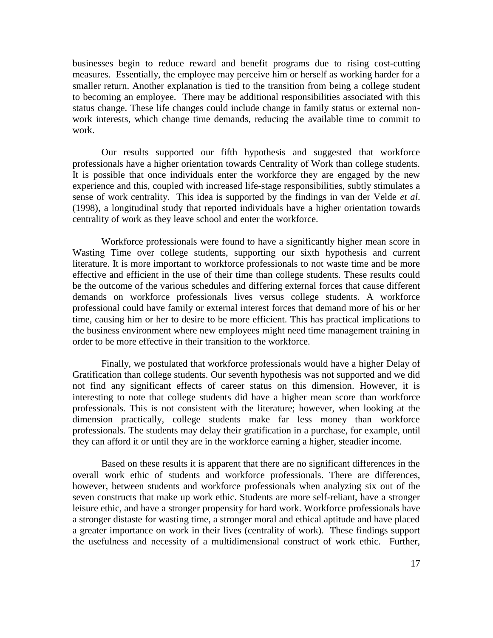businesses begin to reduce reward and benefit programs due to rising cost-cutting measures. Essentially, the employee may perceive him or herself as working harder for a smaller return. Another explanation is tied to the transition from being a college student to becoming an employee. There may be additional responsibilities associated with this status change. These life changes could include change in family status or external nonwork interests, which change time demands, reducing the available time to commit to work.

Our results supported our fifth hypothesis and suggested that workforce professionals have a higher orientation towards Centrality of Work than college students. It is possible that once individuals enter the workforce they are engaged by the new experience and this, coupled with increased life-stage responsibilities, subtly stimulates a sense of work centrality. This idea is supported by the findings in van der Velde *et al*. (1998), a longitudinal study that reported individuals have a higher orientation towards centrality of work as they leave school and enter the workforce.

Workforce professionals were found to have a significantly higher mean score in Wasting Time over college students, supporting our sixth hypothesis and current literature. It is more important to workforce professionals to not waste time and be more effective and efficient in the use of their time than college students. These results could be the outcome of the various schedules and differing external forces that cause different demands on workforce professionals lives versus college students. A workforce professional could have family or external interest forces that demand more of his or her time, causing him or her to desire to be more efficient. This has practical implications to the business environment where new employees might need time management training in order to be more effective in their transition to the workforce.

Finally, we postulated that workforce professionals would have a higher Delay of Gratification than college students. Our seventh hypothesis was not supported and we did not find any significant effects of career status on this dimension. However, it is interesting to note that college students did have a higher mean score than workforce professionals. This is not consistent with the literature; however, when looking at the dimension practically, college students make far less money than workforce professionals. The students may delay their gratification in a purchase, for example, until they can afford it or until they are in the workforce earning a higher, steadier income.

Based on these results it is apparent that there are no significant differences in the overall work ethic of students and workforce professionals. There are differences, however, between students and workforce professionals when analyzing six out of the seven constructs that make up work ethic. Students are more self-reliant, have a stronger leisure ethic, and have a stronger propensity for hard work. Workforce professionals have a stronger distaste for wasting time, a stronger moral and ethical aptitude and have placed a greater importance on work in their lives (centrality of work). These findings support the usefulness and necessity of a multidimensional construct of work ethic. Further,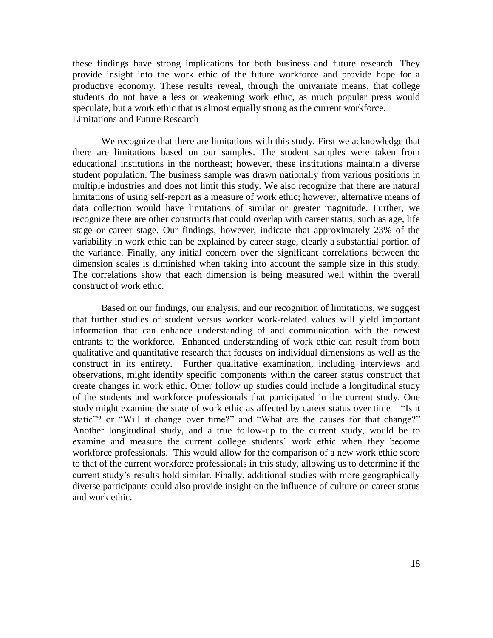these findings have strong implications for both business and future research. They provide insight into the work ethic of the future workforce and provide hope for a productive economy. These results reveal, through the univariate means, that college students do not have a less or weakening work ethic, as much popular press would speculate, but a work ethic that is almost equally strong as the current workforce. Limitations and Future Research

We recognize that there are limitations with this study. First we acknowledge that there are limitations based on our samples. The student samples were taken from educational institutions in the northeast; however, these institutions maintain a diverse student population. The business sample was drawn nationally from various positions in multiple industries and does not limit this study. We also recognize that there are natural limitations of using self-report as a measure of work ethic; however, alternative means of data collection would have limitations of similar or greater magnitude. Further, we recognize there are other constructs that could overlap with career status, such as age, life stage or career stage. Our findings, however, indicate that approximately 23% of the variability in work ethic can be explained by career stage, clearly a substantial portion of the variance. Finally, any initial concern over the significant correlations between the dimension scales is diminished when taking into account the sample size in this study. The correlations show that each dimension is being measured well within the overall construct of work ethic.

Based on our findings, our analysis, and our recognition of limitations, we suggest that further studies of student versus worker work-related values will yield important information that can enhance understanding of and communication with the newest entrants to the workforce. Enhanced understanding of work ethic can result from both qualitative and quantitative research that focuses on individual dimensions as well as the construct in its entirety. Further qualitative examination, including interviews and observations, might identify specific components within the career status construct that create changes in work ethic. Other follow up studies could include a longitudinal study of the students and workforce professionals that participated in the current study. One study might examine the state of work ethic as affected by career status over time – "Is it static"? or "Will it change over time?" and "What are the causes for that change?" Another longitudinal study, and a true follow-up to the current study, would be to examine and measure the current college students' work ethic when they become workforce professionals. This would allow for the comparison of a new work ethic score to that of the current workforce professionals in this study, allowing us to determine if the current study"s results hold similar. Finally, additional studies with more geographically diverse participants could also provide insight on the influence of culture on career status and work ethic.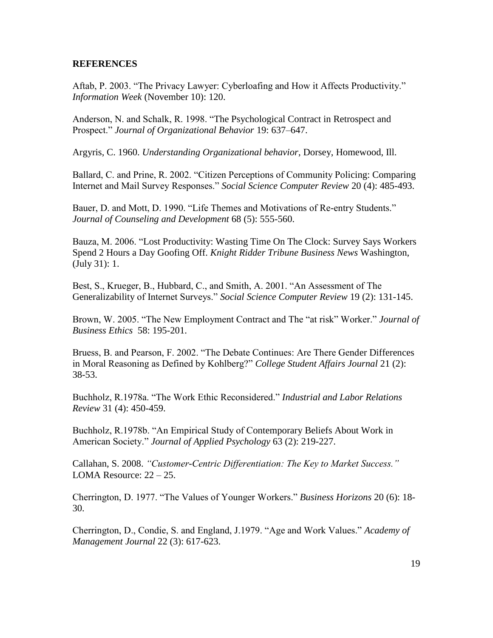# **REFERENCES**

Aftab, P. 2003. "The Privacy Lawyer: Cyberloafing and How it Affects Productivity." *Information Week* (November 10): 120.

Anderson, N. and Schalk, R. 1998. "The Psychological Contract in Retrospect and Prospect." *Journal of Organizational Behavior* 19: 637–647.

Argyris, C. 1960. *Understanding Organizational behavior*, Dorsey, Homewood, Ill.

Ballard, C. and Prine, R. 2002. "Citizen Perceptions of Community Policing: Comparing Internet and Mail Survey Responses." *Social Science Computer Review* 20 (4): 485-493.

Bauer, D. and Mott, D. 1990. "Life Themes and Motivations of Re-entry Students." *Journal of Counseling and Development* 68 (5): 555-560.

Bauza, M. 2006. "Lost Productivity: Wasting Time On The Clock: Survey Says Workers Spend 2 Hours a Day Goofing Off. *Knight Ridder Tribune Business News* Washington, (July 31): 1.

Best, S., Krueger, B., Hubbard, C., and Smith, A. 2001. "An Assessment of The Generalizability of Internet Surveys." *Social Science Computer Review* 19 (2): 131-145.

Brown, W. 2005. "The New Employment Contract and The "at risk" Worker." *Journal of Business Ethics* 58: 195-201.

Bruess, B. and Pearson, F. 2002. "The Debate Continues: Are There Gender Differences in Moral Reasoning as Defined by Kohlberg?" *College Student Affairs Journal* 21 (2): 38-53.

Buchholz, R.1978a. "The Work Ethic Reconsidered." *Industrial and Labor Relations Review* 31 (4): 450-459.

Buchholz, R.1978b. "An Empirical Study of Contemporary Beliefs About Work in American Society." *Journal of Applied Psychology* 63 (2): 219-227.

Callahan, S. 2008. *"Customer-Centric Differentiation: The Key to Market Success."* LOMA Resource: 22 – 25.

Cherrington, D. 1977. "The Values of Younger Workers." *Business Horizons* 20 (6): 18- 30.

Cherrington, D., Condie, S. and England, J.1979. "Age and Work Values." *Academy of Management Journal* 22 (3): 617-623.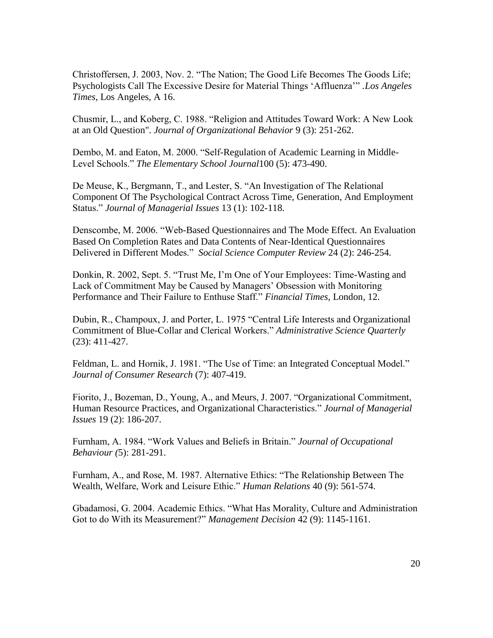Christoffersen, J. 2003, Nov. 2. "The Nation; The Good Life Becomes The Goods Life; Psychologists Call The Excessive Desire for Material Things "Affluenza"" *.Los Angeles Times*, Los Angeles, A 16.

Chusmir, L., and Koberg, C. 1988. "Religion and Attitudes Toward Work: A New Look at an Old Question". *Journal of Organizational Behavior* 9 (3): 251-262.

Dembo, M. and Eaton, M. 2000. "Self-Regulation of Academic Learning in Middle-Level Schools." *The Elementary School Journal*100 (5): 473-490.

De Meuse, K., Bergmann, T., and Lester, S. "An Investigation of The Relational Component Of The Psychological Contract Across Time, Generation, And Employment Status." *Journal of Managerial Issues* 13 (1): 102-118.

Denscombe, M. 2006. "Web-Based Questionnaires and The Mode Effect. An Evaluation Based On Completion Rates and Data Contents of Near-Identical Questionnaires Delivered in Different Modes." *Social Science Computer Review* 24 (2): 246-254.

Donkin, R. 2002, Sept. 5. "Trust Me, I"m One of Your Employees: Time-Wasting and Lack of Commitment May be Caused by Managers" Obsession with Monitoring Performance and Their Failure to Enthuse Staff." *Financial Times,* London, 12.

Dubin, R., Champoux, J. and Porter, L. 1975 "Central Life Interests and Organizational Commitment of Blue-Collar and Clerical Workers." *Administrative Science Quarterly* (23): 411-427.

Feldman, L. and Hornik, J. 1981. "The Use of Time: an Integrated Conceptual Model." *Journal of Consumer Research* (7): 407-419.

Fiorito, J., Bozeman, D., Young, A., and Meurs, J. 2007. "Organizational Commitment, Human Resource Practices, and Organizational Characteristics." *Journal of Managerial Issues* 19 (2): 186-207.

Furnham, A. 1984. "Work Values and Beliefs in Britain." *Journal of Occupational Behaviour (*5): 281-291.

Furnham, A., and Rose, M. 1987. Alternative Ethics: "The Relationship Between The Wealth, Welfare, Work and Leisure Ethic." *Human Relations* 40 (9): 561-574.

Gbadamosi, G. 2004. Academic Ethics. "What Has Morality, Culture and Administration Got to do With its Measurement?" *Management Decision* 42 (9): 1145-1161.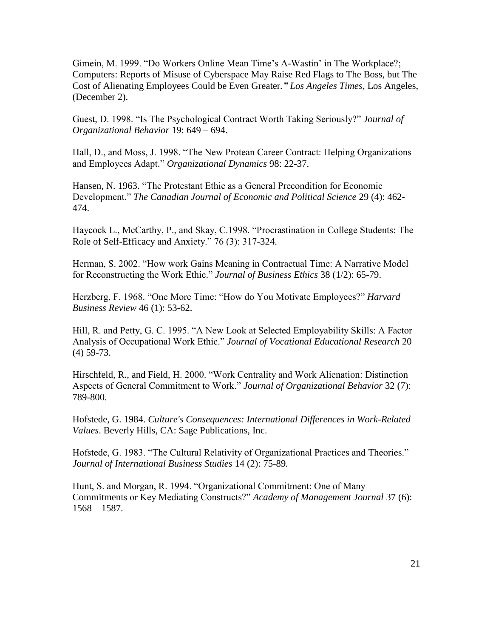Gimein, M. 1999. "Do Workers Online Mean Time"s A-Wastin" in The Workplace?; Computers: Reports of Misuse of Cyberspace May Raise Red Flags to The Boss, but The Cost of Alienating Employees Could be Even Greater*." Los Angeles Times,* Los Angeles, (December 2).

Guest, D. 1998. "Is The Psychological Contract Worth Taking Seriously?" *Journal of Organizational Behavior* 19: 649 – 694.

Hall, D., and Moss, J. 1998. "The New Protean Career Contract: Helping Organizations and Employees Adapt." *Organizational Dynamics* 98: 22-37.

Hansen, N. 1963. "The Protestant Ethic as a General Precondition for Economic Development." *The Canadian Journal of Economic and Political Science* 29 (4): 462- 474.

Haycock L., McCarthy, P., and Skay, C.1998. "Procrastination in College Students: The Role of Self-Efficacy and Anxiety." 76 (3): 317-324.

Herman, S. 2002. "How work Gains Meaning in Contractual Time: A Narrative Model for Reconstructing the Work Ethic." *Journal of Business Ethics* 38 (1/2): 65-79.

Herzberg, F. 1968. "One More Time: "How do You Motivate Employees?" *Harvard Business Review* 46 (1): 53-62.

Hill, R. and Petty, G. C. 1995. "A New Look at Selected Employability Skills: A Factor Analysis of Occupational Work Ethic." *Journal of Vocational Educational Research* 20 (4) 59-73.

Hirschfeld, R., and Field, H. 2000. "Work Centrality and Work Alienation: Distinction Aspects of General Commitment to Work." *Journal of Organizational Behavior* 32 (7): 789-800.

Hofstede, G. 1984. *Culture's Consequences: International Differences in Work-Related Values*. Beverly Hills, CA: Sage Publications, Inc.

Hofstede, G. 1983. "The Cultural Relativity of Organizational Practices and Theories." *Journal of International Business Studies* 14 (2): 75-89*.*

Hunt, S. and Morgan, R. 1994. "Organizational Commitment: One of Many Commitments or Key Mediating Constructs?" *Academy of Management Journal* 37 (6): 1568 – 1587.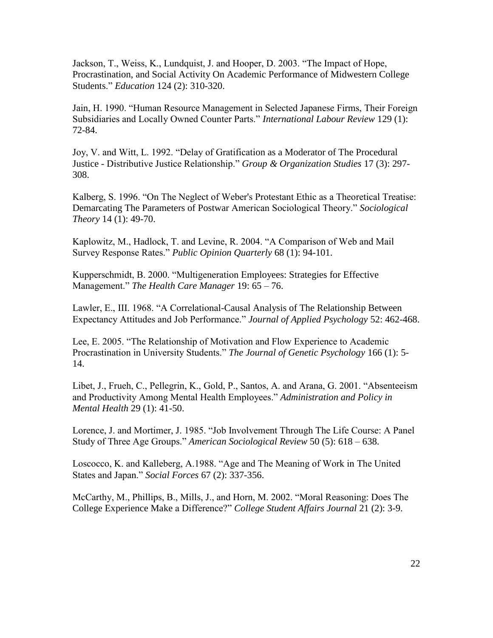Jackson, T., Weiss, K., Lundquist, J. and Hooper, D. 2003. "The Impact of Hope, Procrastination, and Social Activity On Academic Performance of Midwestern College Students." *Education* 124 (2): 310-320.

Jain, H. 1990. "Human Resource Management in Selected Japanese Firms, Their Foreign Subsidiaries and Locally Owned Counter Parts." *International Labour Review* 129 (1): 72-84.

Joy, V. and Witt, L. 1992. "Delay of Gratification as a Moderator of The Procedural Justice - Distributive Justice Relationship." *Group & Organization Studies* 17 (3): 297- 308.

Kalberg, S. 1996. "On The Neglect of Weber's Protestant Ethic as a Theoretical Treatise: Demarcating The Parameters of Postwar American Sociological Theory." *Sociological Theory* 14 (1): 49-70.

Kaplowitz, M., Hadlock, T. and Levine, R. 2004. "A Comparison of Web and Mail Survey Response Rates." *Public Opinion Quarterly* 68 (1): 94-101.

Kupperschmidt, B. 2000. "Multigeneration Employees: Strategies for Effective Management." *The Health Care Manager* 19: 65 – 76.

Lawler, E., III. 1968. "A Correlational-Causal Analysis of The Relationship Between Expectancy Attitudes and Job Performance." *Journal of Applied Psychology* 52: 462-468.

Lee, E. 2005. "The Relationship of Motivation and Flow Experience to Academic Procrastination in University Students." *The Journal of Genetic Psychology* 166 (1): 5- 14.

Libet, J., Frueh, C., Pellegrin, K., Gold, P., Santos, A. and Arana, G. 2001. "Absenteeism and Productivity Among Mental Health Employees." *Administration and Policy in Mental Health* 29 (1): 41-50.

Lorence, J. and Mortimer, J. 1985. "Job Involvement Through The Life Course: A Panel Study of Three Age Groups." *American Sociological Review* 50 (5): 618 – 638.

Loscocco, K. and Kalleberg, A.1988. "Age and The Meaning of Work in The United States and Japan." *Social Forces* 67 (2): 337-356.

McCarthy, M., Phillips, B., Mills, J., and Horn, M. 2002. "Moral Reasoning: Does The College Experience Make a Difference?" *College Student Affairs Journal* 21 (2): 3-9.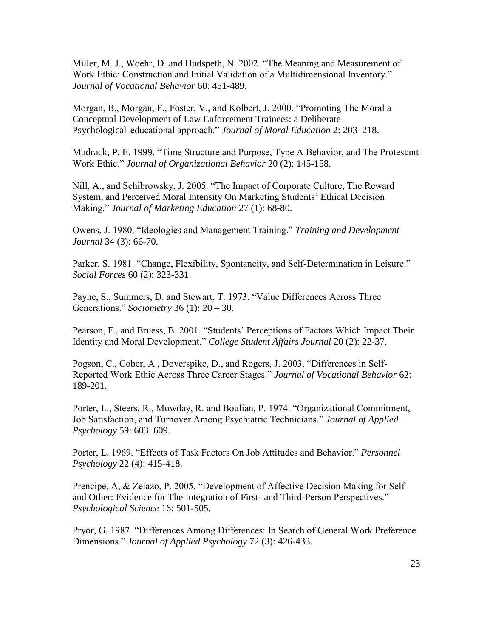Miller, M. J., Woehr, D. and Hudspeth, N. 2002. "The Meaning and Measurement of Work Ethic: Construction and Initial Validation of a Multidimensional Inventory." *Journal of Vocational Behavior* 60: 451-489.

Morgan, B., Morgan, F., Foster, V., and Kolbert, J. 2000. "Promoting The Moral a Conceptual Development of Law Enforcement Trainees: a Deliberate Psychological educational approach." *Journal of Moral Education* 2: 203–218.

Mudrack, P. E. 1999. "Time Structure and Purpose, Type A Behavior, and The Protestant Work Ethic." *Journal of Organizational Behavior* 20 (2): 145-158.

Nill, A., and Schibrowsky, J. 2005. "The Impact of Corporate Culture, The Reward System, and Perceived Moral Intensity On Marketing Students' Ethical Decision Making." *Journal of Marketing Education* 27 (1): 68-80.

Owens, J. 1980. "Ideologies and Management Training." *Training and Development Journal* 34 (3): 66-70.

Parker, S. 1981. "Change, Flexibility, Spontaneity, and Self-Determination in Leisure." *Social Forces* 60 (2): 323-331.

Payne, S., Summers, D. and Stewart, T. 1973. "Value Differences Across Three Generations." *Sociometry* 36 (1): 20 – 30.

Pearson, F., and Bruess, B. 2001. "Students' Perceptions of Factors Which Impact Their Identity and Moral Development." *College Student Affairs Journal* 20 (2): 22-37.

Pogson, C., Cober, A., Doverspike, D., and Rogers, J. 2003. "Differences in Self-Reported Work Ethic Across Three Career Stages." *Journal of Vocational Behavior* 62: 189-201.

Porter, L., Steers, R., Mowday, R. and Boulian, P. 1974. "Organizational Commitment, Job Satisfaction, and Turnover Among Psychiatric Technicians." *Journal of Applied Psychology* 59: 603–609.

Porter, L. 1969. "Effects of Task Factors On Job Attitudes and Behavior." *Personnel Psychology* 22 (4): 415-418.

Prencipe, A, & Zelazo, P. 2005. "Development of Affective Decision Making for Self and Other: Evidence for The Integration of First- and Third-Person Perspectives." *Psychological Science* 16: 501-505.

Pryor, G. 1987. "Differences Among Differences: In Search of General Work Preference Dimensions." *Journal of Applied Psychology* 72 (3): 426-433.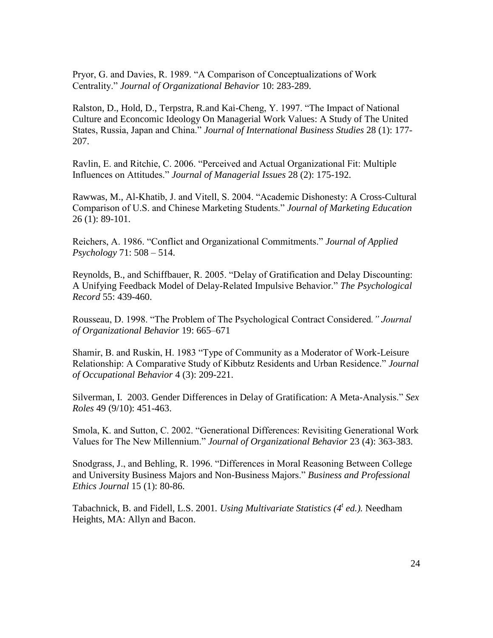Pryor, G. and Davies, R. 1989. "A Comparison of Conceptualizations of Work Centrality." *Journal of Organizational Behavior* 10: 283-289.

Ralston, D., Hold, D., Terpstra, R.and Kai-Cheng, Y. 1997. "The Impact of National Culture and Econcomic Ideology On Managerial Work Values: A Study of The United States, Russia, Japan and China." *Journal of International Business Studies* 28 (1): 177- 207.

Ravlin, E. and Ritchie, C. 2006. "Perceived and Actual Organizational Fit: Multiple Influences on Attitudes." *Journal of Managerial Issues* 28 (2): 175-192.

Rawwas, M., Al-Khatib, J. and Vitell, S. 2004. "Academic Dishonesty: A Cross-Cultural Comparison of U.S. and Chinese Marketing Students." *Journal of Marketing Education*  26 (1): 89-101.

Reichers, A. 1986. "Conflict and Organizational Commitments." *Journal of Applied Psychology* 71: 508 – 514.

Reynolds, B., and Schiffbauer, R. 2005. "Delay of Gratification and Delay Discounting: A Unifying Feedback Model of Delay-Related Impulsive Behavior." *The Psychological Record* 55: 439-460.

Rousseau, D. 1998. "The Problem of The Psychological Contract Considered*." Journal of Organizational Behavior* 19: 665–671

Shamir, B. and Ruskin, H. 1983 "Type of Community as a Moderator of Work-Leisure Relationship: A Comparative Study of Kibbutz Residents and Urban Residence." *Journal of Occupational Behavior* 4 (3): 209-221.

Silverman, I. 2003. Gender Differences in Delay of Gratification: A Meta-Analysis." *Sex Roles* 49 (9/10): 451-463.

Smola, K. and Sutton, C. 2002. "Generational Differences: Revisiting Generational Work Values for The New Millennium." *Journal of Organizational Behavior* 23 (4): 363-383.

Snodgrass, J., and Behling, R. 1996. "Differences in Moral Reasoning Between College and University Business Majors and Non-Business Majors." *Business and Professional Ethics Journal* 15 (1): 80-86.

Tabachnick, B. and Fidell, L.S. 2001*. Using Multivariate Statistics (4<sup>t</sup> ed.).* Needham Heights, MA: Allyn and Bacon.